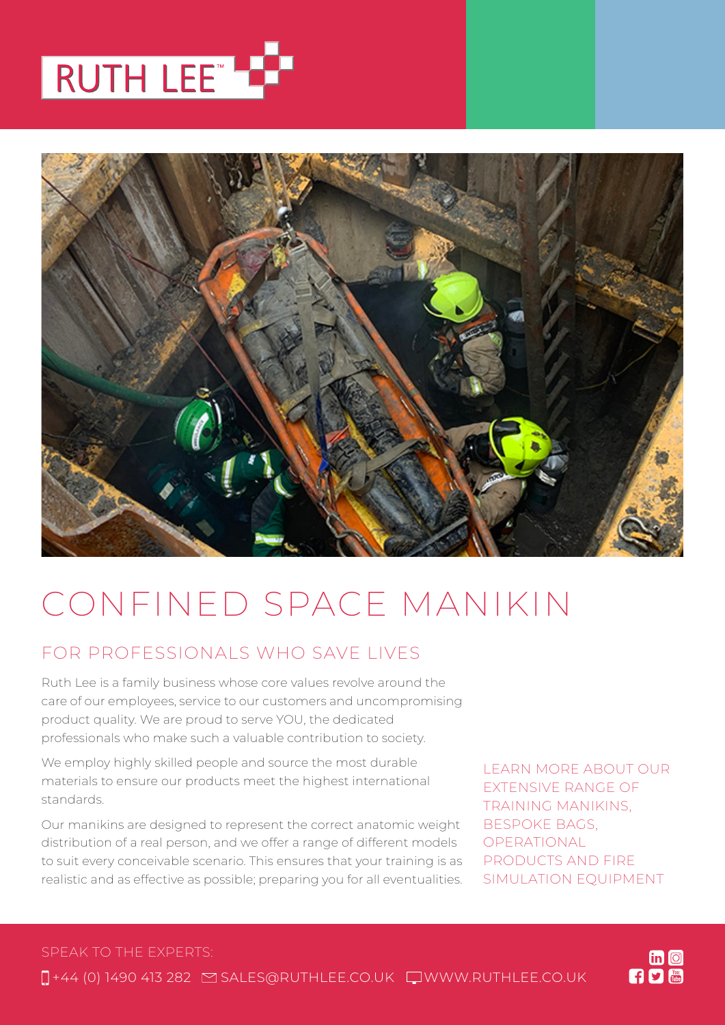



# CONFINED SPACE MANIKIN

### FOR PROFESSIONALS WHO SAVE LIVES

Ruth Lee is a family business whose core values revolve around the care of our employees, service to our customers and uncompromising product quality. We are proud to serve YOU, the dedicated professionals who make such a valuable contribution to society.

We employ highly skilled people and source the most durable materials to ensure our products meet the highest international standards.

Our manikins are designed to represent the correct anatomic weight distribution of a real person, and we offer a range of different models to suit every conceivable scenario. This ensures that your training is as realistic and as effective as possible; preparing you for all eventualities. LEARN MORE ABOUT OUR EXTENSIVE RANGE OF TRAINING MANIKINS, BESPOKE BAGS, OPERATIONAL PRODUCTS AND FIRE SIMULATION EQUIPMENT